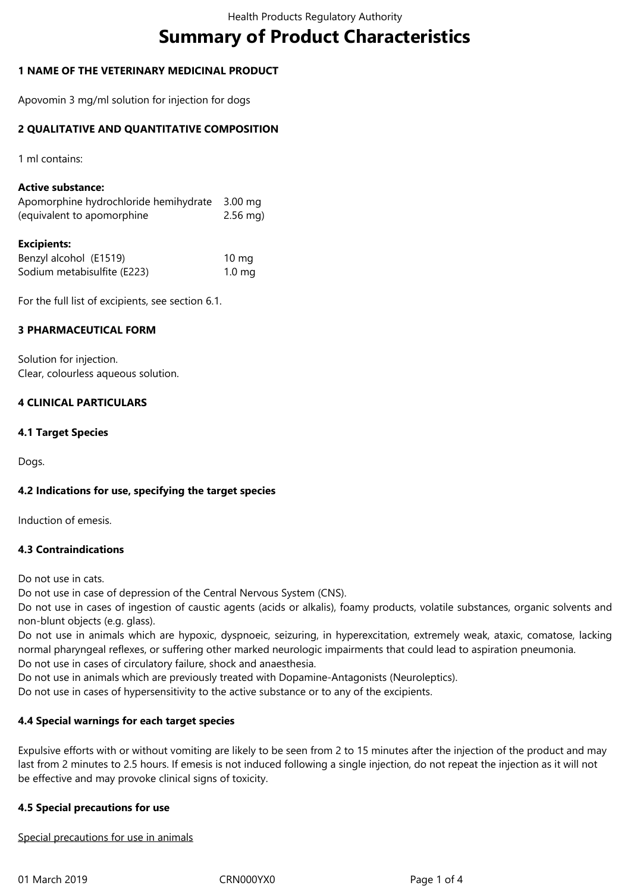# **Summary of Product Characteristics**

## **1 NAME OF THE VETERINARY MEDICINAL PRODUCT**

Apovomin 3 mg/ml solution for injection for dogs

## **2 QUALITATIVE AND QUANTITATIVE COMPOSITION**

1 ml contains:

## **Active substance:**

| Apomorphine hydrochloride hemihydrate 3.00 mg |            |
|-----------------------------------------------|------------|
| (equivalent to apomorphine                    | $2.56$ mg) |

#### **Excipients:**

| Benzyl alcohol (E1519)      | $10 \text{ mg}$   |
|-----------------------------|-------------------|
| Sodium metabisulfite (E223) | 1.0 <sub>mg</sub> |

For the full list of excipients, see section 6.1.

## **3 PHARMACEUTICAL FORM**

Solution for injection. Clear, colourless aqueous solution.

## **4 CLINICAL PARTICULARS**

## **4.1 Target Species**

Dogs.

## **4.2 Indications for use, specifying the target species**

Induction of emesis.

## **4.3 Contraindications**

Do not use in cats.

Do not use in case of depression of the Central Nervous System (CNS).

Do not use in cases of ingestion of caustic agents (acids or alkalis), foamy products, volatile substances, organic solvents and non-blunt objects (e.g. glass).

Do not use in animals which are hypoxic, dyspnoeic, seizuring, in hyperexcitation, extremely weak, ataxic, comatose, lacking normal pharyngeal reflexes, or suffering other marked neurologic impairments that could lead to aspiration pneumonia. Do not use in cases of circulatory failure, shock and anaesthesia.

Do not use in animals which are previously treated with Dopamine-Antagonists (Neuroleptics).

Do not use in cases of hypersensitivity to the active substance or to any of the excipients.

## **4.4 Special warnings for each target species**

Expulsive efforts with or without vomiting are likely to be seen from 2 to 15 minutes after the injection of the product and may last from 2 minutes to 2.5 hours. If emesis is not induced following a single injection, do not repeat the injection as it will not be effective and may provoke clinical signs of toxicity.

## **4.5 Special precautions for use**

Special precautions for use in animals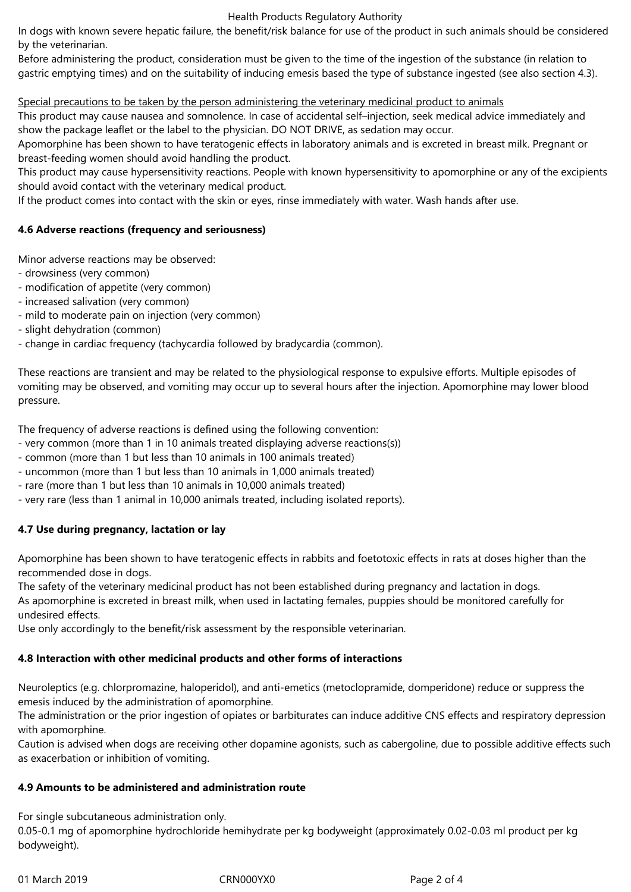#### Health Products Regulatory Authority

In dogs with known severe hepatic failure, the benefit/risk balance for use of the product in such animals should be considered by the veterinarian.

Before administering the product, consideration must be given to the time of the ingestion of the substance (in relation to gastric emptying times) and on the suitability of inducing emesis based the type of substance ingested (see also section 4.3).

## Special precautions to be taken by the person administering the veterinary medicinal product to animals

This product may cause nausea and somnolence. In case of accidental self–injection, seek medical advice immediately and show the package leaflet or the label to the physician. DO NOT DRIVE, as sedation may occur.

Apomorphine has been shown to have teratogenic effects in laboratory animals and is excreted in breast milk. Pregnant or breast-feeding women should avoid handling the product.

This product may cause hypersensitivity reactions. People with known hypersensitivity to apomorphine or any of the excipients should avoid contact with the veterinary medical product.

If the product comes into contact with the skin or eyes, rinse immediately with water. Wash hands after use.

## **4.6 Adverse reactions (frequency and seriousness)**

Minor adverse reactions may be observed:

- drowsiness (very common)
- modification of appetite (very common)
- increased salivation (very common)
- mild to moderate pain on injection (very common)
- slight dehydration (common)
- change in cardiac frequency (tachycardia followed by bradycardia (common).

These reactions are transient and may be related to the physiological response to expulsive efforts. Multiple episodes of vomiting may be observed, and vomiting may occur up to several hours after the injection. Apomorphine may lower blood pressure.

The frequency of adverse reactions is defined using the following convention:

- very common (more than 1 in 10 animals treated displaying adverse reactions(s))
- common (more than 1 but less than 10 animals in 100 animals treated)
- uncommon (more than 1 but less than 10 animals in 1,000 animals treated)
- rare (more than 1 but less than 10 animals in 10,000 animals treated)
- very rare (less than 1 animal in 10,000 animals treated, including isolated reports).

## **4.7 Use during pregnancy, lactation or lay**

Apomorphine has been shown to have teratogenic effects in rabbits and foetotoxic effects in rats at doses higher than the recommended dose in dogs.

The safety of the veterinary medicinal product has not been established during pregnancy and lactation in dogs.

As apomorphine is excreted in breast milk, when used in lactating females, puppies should be monitored carefully for undesired effects.

Use only accordingly to the benefit/risk assessment by the responsible veterinarian.

# **4.8 Interaction with other medicinal products and other forms of interactions**

Neuroleptics (e.g. chlorpromazine, haloperidol), and anti-emetics (metoclopramide, domperidone) reduce or suppress the emesis induced by the administration of apomorphine.

The administration or the prior ingestion of opiates or barbiturates can induce additive CNS effects and respiratory depression with apomorphine.

Caution is advised when dogs are receiving other dopamine agonists, such as cabergoline, due to possible additive effects such as exacerbation or inhibition of vomiting.

# **4.9 Amounts to be administered and administration route**

For single subcutaneous administration only.

0.05-0.1 mg of apomorphine hydrochloride hemihydrate per kg bodyweight (approximately 0.02-0.03 ml product per kg bodyweight).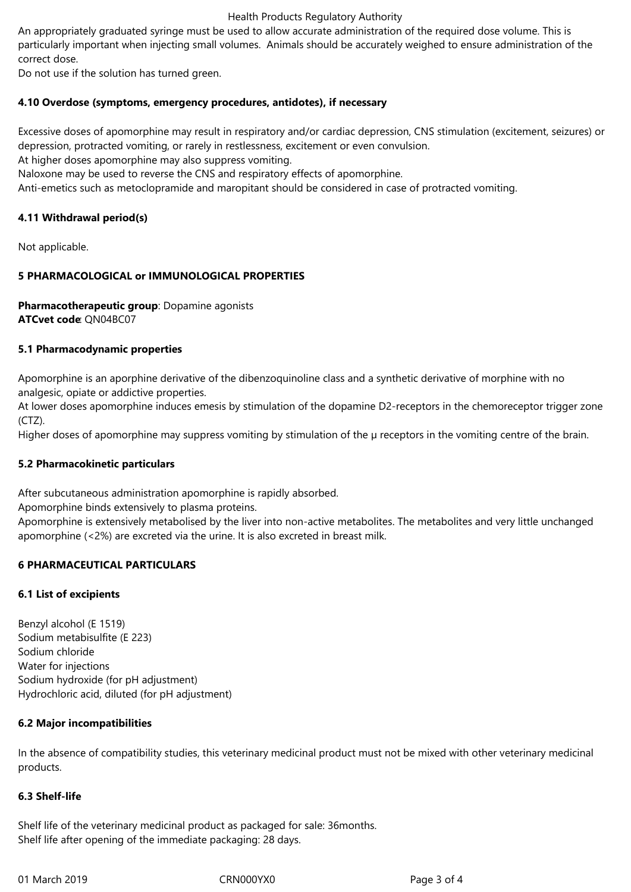## Health Products Regulatory Authority

An appropriately graduated syringe must be used to allow accurate administration of the required dose volume. This is particularly important when injecting small volumes. Animals should be accurately weighed to ensure administration of the correct dose.

Do not use if the solution has turned green.

## **4.10 Overdose (symptoms, emergency procedures, antidotes), if necessary**

Excessive doses of apomorphine may result in respiratory and/or cardiac depression, CNS stimulation (excitement, seizures) or depression, protracted vomiting, or rarely in restlessness, excitement or even convulsion.

At higher doses apomorphine may also suppress vomiting.

Naloxone may be used to reverse the CNS and respiratory effects of apomorphine.

Anti-emetics such as metoclopramide and maropitant should be considered in case of protracted vomiting.

## **4.11 Withdrawal period(s)**

Not applicable.

## **5 PHARMACOLOGICAL or IMMUNOLOGICAL PROPERTIES**

**Pharmacotherapeutic group**: Dopamine agonists **ATCvet code**: QN04BC07

## **5.1 Pharmacodynamic properties**

Apomorphine is an aporphine derivative of the dibenzoquinoline class and a synthetic derivative of morphine with no analgesic, opiate or addictive properties.

At lower doses apomorphine induces emesis by stimulation of the dopamine D2-receptors in the chemoreceptor trigger zone  $(CTZ)$ .

Higher doses of apomorphine may suppress vomiting by stimulation of the  $\mu$  receptors in the vomiting centre of the brain.

## **5.2 Pharmacokinetic particulars**

After subcutaneous administration apomorphine is rapidly absorbed.

Apomorphine binds extensively to plasma proteins.

Apomorphine is extensively metabolised by the liver into non-active metabolites. The metabolites and very little unchanged apomorphine (<2%) are excreted via the urine. It is also excreted in breast milk.

## **6 PHARMACEUTICAL PARTICULARS**

## **6.1 List of excipients**

Benzyl alcohol (E 1519) Sodium metabisulfite (E 223) Sodium chloride Water for injections Sodium hydroxide (for pH adjustment) Hydrochloric acid, diluted (for pH adjustment)

## **6.2 Major incompatibilities**

In the absence of compatibility studies, this veterinary medicinal product must not be mixed with other veterinary medicinal products.

## **6.3 Shelf-life**

Shelf life of the veterinary medicinal product as packaged for sale: 36months. Shelf life after opening of the immediate packaging: 28 days.